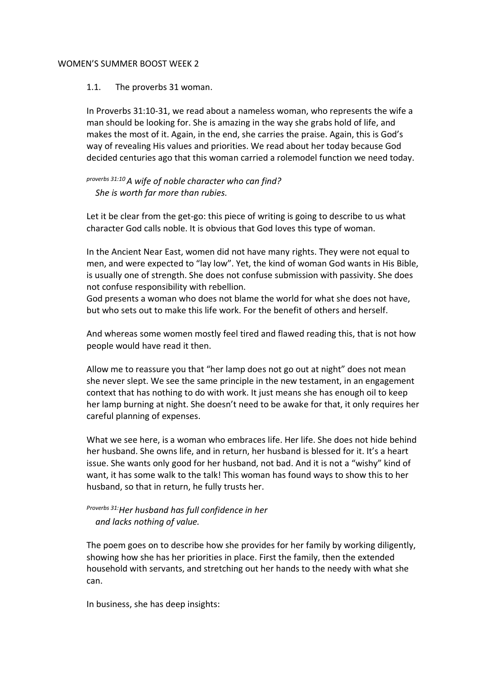### WOMEN'S SUMMER BOOST WEEK 2

### 1.1. The proverbs 31 woman.

In Proverbs 31:10-31, we read about a nameless woman, who represents the wife a man should be looking for. She is amazing in the way she grabs hold of life, and makes the most of it. Again, in the end, she carries the praise. Again, this is God's way of revealing His values and priorities. We read about her today because God decided centuries ago that this woman carried a rolemodel function we need today.

# *proverbs 31:10 A wife of noble character who can find? She is worth far more than rubies.*

Let it be clear from the get-go: this piece of writing is going to describe to us what character God calls noble. It is obvious that God loves this type of woman.

In the Ancient Near East, women did not have many rights. They were not equal to men, and were expected to "lay low". Yet, the kind of woman God wants in His Bible, is usually one of strength. She does not confuse submission with passivity. She does not confuse responsibility with rebellion.

God presents a woman who does not blame the world for what she does not have, but who sets out to make this life work. For the benefit of others and herself.

And whereas some women mostly feel tired and flawed reading this, that is not how people would have read it then.

Allow me to reassure you that "her lamp does not go out at night" does not mean she never slept. We see the same principle in the new testament, in an engagement context that has nothing to do with work. It just means she has enough oil to keep her lamp burning at night. She doesn't need to be awake for that, it only requires her careful planning of expenses.

What we see here, is a woman who embraces life. Her life. She does not hide behind her husband. She owns life, and in return, her husband is blessed for it. It's a heart issue. She wants only good for her husband, not bad. And it is not a "wishy" kind of want, it has some walk to the talk! This woman has found ways to show this to her husband, so that in return, he fully trusts her.

# *Proverbs 31:Her husband has full confidence in her and lacks nothing of value.*

The poem goes on to describe how she provides for her family by working diligently, showing how she has her priorities in place. First the family, then the extended household with servants, and stretching out her hands to the needy with what she can.

In business, she has deep insights: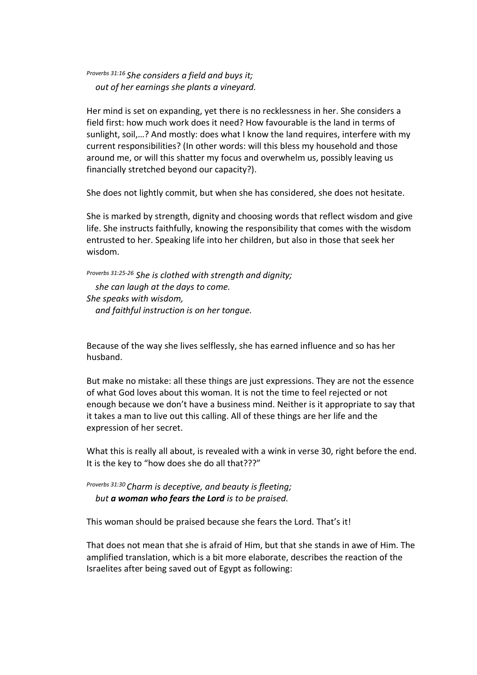*Proverbs 31:16 She considers a field and buys it; out of her earnings she plants a vineyard.*

Her mind is set on expanding, yet there is no recklessness in her. She considers a field first: how much work does it need? How favourable is the land in terms of sunlight, soil,…? And mostly: does what I know the land requires, interfere with my current responsibilities? (In other words: will this bless my household and those around me, or will this shatter my focus and overwhelm us, possibly leaving us financially stretched beyond our capacity?).

She does not lightly commit, but when she has considered, she does not hesitate.

She is marked by strength, dignity and choosing words that reflect wisdom and give life. She instructs faithfully, knowing the responsibility that comes with the wisdom entrusted to her. Speaking life into her children, but also in those that seek her wisdom.

*Proverbs 31:25-26 She is clothed with strength and dignity; she can laugh at the days to come. She speaks with wisdom, and faithful instruction is on her tongue.*

Because of the way she lives selflessly, she has earned influence and so has her husband.

But make no mistake: all these things are just expressions. They are not the essence of what God loves about this woman. It is not the time to feel rejected or not enough because we don't have a business mind. Neither is it appropriate to say that it takes a man to live out this calling. All of these things are her life and the expression of her secret.

What this is really all about, is revealed with a wink in verse 30, right before the end. It is the key to "how does she do all that???"

*Proverbs 31:30 Charm is deceptive, and beauty is fleeting; but a woman who fears the Lord is to be praised.*

This woman should be praised because she fears the Lord. That's it!

That does not mean that she is afraid of Him, but that she stands in awe of Him. The amplified translation, which is a bit more elaborate, describes the reaction of the Israelites after being saved out of Egypt as following: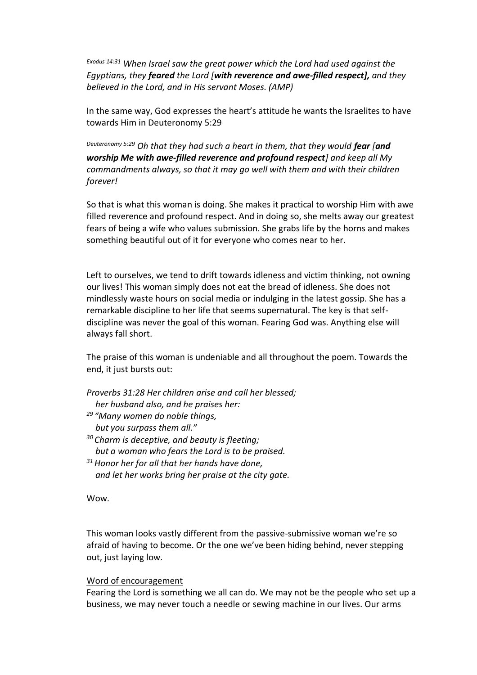*Exodus 14:31 When Israel saw the great power which the Lord had used against the Egyptians, they feared the Lord [with reverence and awe-filled respect], and they believed in the Lord, and in His servant Moses. (AMP)*

In the same way, God expresses the heart's attitude he wants the Israelites to have towards Him in Deuteronomy 5:29

*Deuteronomy 5:29 Oh that they had such a heart in them, that they would fear [and worship Me with awe-filled reverence and profound respect] and keep all My commandments always, so that it may go well with them and with their children forever!*

So that is what this woman is doing. She makes it practical to worship Him with awe filled reverence and profound respect. And in doing so, she melts away our greatest fears of being a wife who values submission. She grabs life by the horns and makes something beautiful out of it for everyone who comes near to her.

Left to ourselves, we tend to drift towards idleness and victim thinking, not owning our lives! This woman simply does not eat the bread of idleness. She does not mindlessly waste hours on social media or indulging in the latest gossip. She has a remarkable discipline to her life that seems supernatural. The key is that selfdiscipline was never the goal of this woman. Fearing God was. Anything else will always fall short.

The praise of this woman is undeniable and all throughout the poem. Towards the end, it just bursts out:

- *Proverbs 31:28 Her children arise and call her blessed; her husband also, and he praises her:*
- *<sup>29</sup> "Many women do noble things,*
- *but you surpass them all."*
- *<sup>30</sup> Charm is deceptive, and beauty is fleeting; but a woman who fears the Lord is to be praised.*
- *<sup>31</sup>Honor her for all that her hands have done, and let her works bring her praise at the city gate.*

# Wow.

This woman looks vastly different from the passive-submissive woman we're so afraid of having to become. Or the one we've been hiding behind, never stepping out, just laying low.

### Word of encouragement

Fearing the Lord is something we all can do. We may not be the people who set up a business, we may never touch a needle or sewing machine in our lives. Our arms